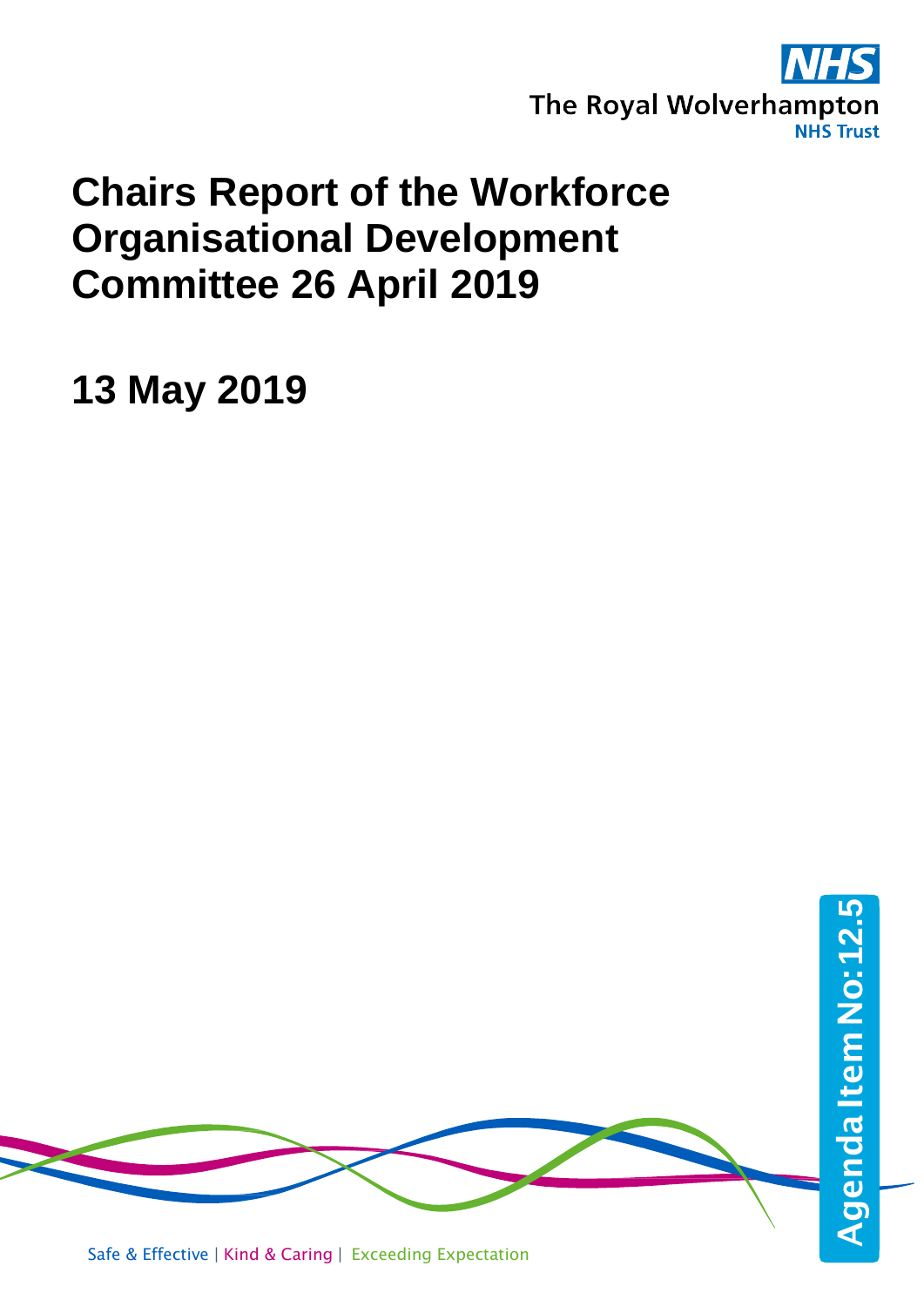

### **Chairs Report of the Workforce Organisational Development Committee 26 April 2019**

**13 May 2019**

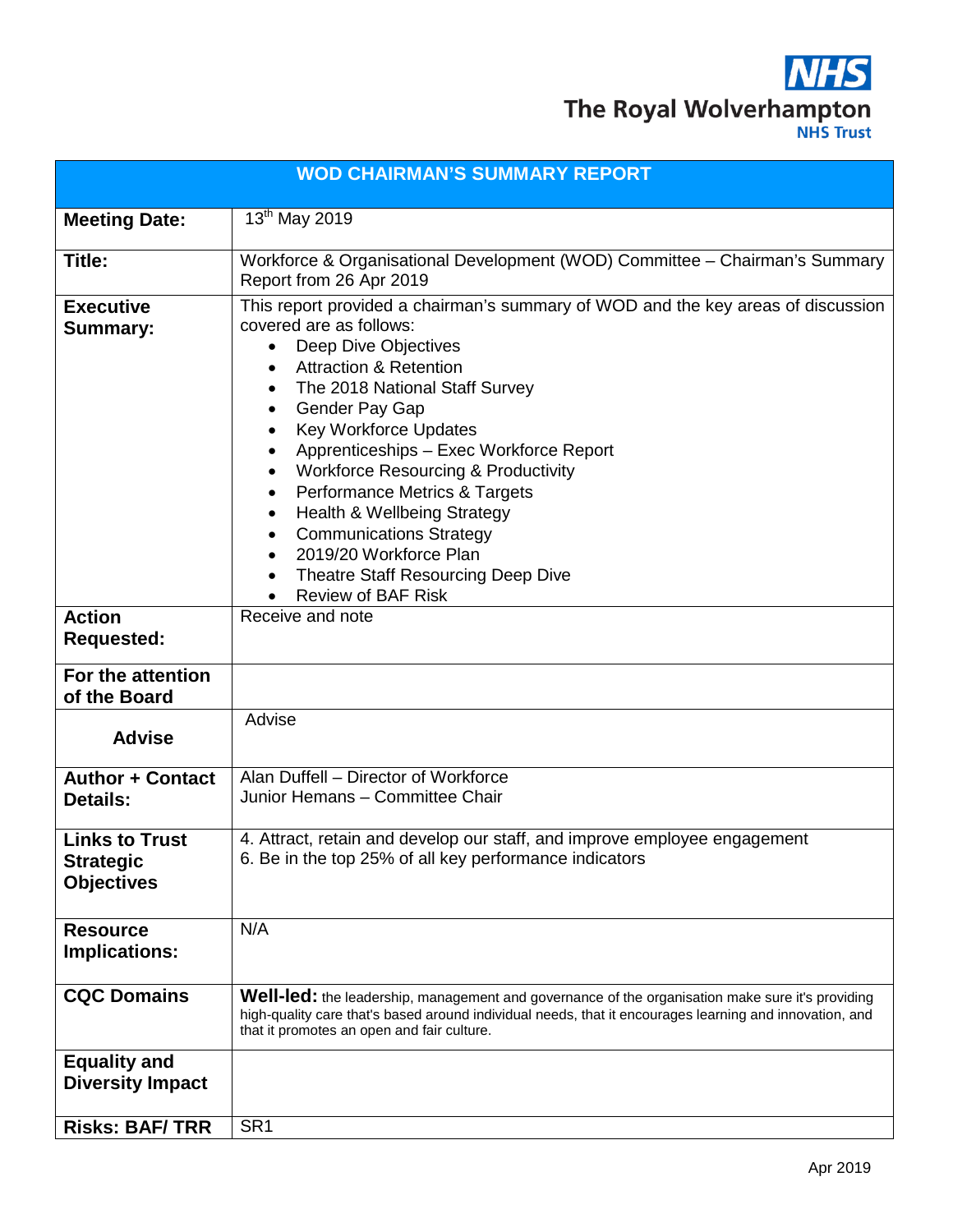

|                                                                | <b>WOD CHAIRMAN'S SUMMARY REPORT</b>                                                                                                                                                                                                                                                                                                                                                                                                                                                                                                                                                                                                                                                                   |  |  |  |
|----------------------------------------------------------------|--------------------------------------------------------------------------------------------------------------------------------------------------------------------------------------------------------------------------------------------------------------------------------------------------------------------------------------------------------------------------------------------------------------------------------------------------------------------------------------------------------------------------------------------------------------------------------------------------------------------------------------------------------------------------------------------------------|--|--|--|
| <b>Meeting Date:</b>                                           | 13th May 2019                                                                                                                                                                                                                                                                                                                                                                                                                                                                                                                                                                                                                                                                                          |  |  |  |
| Title:                                                         | Workforce & Organisational Development (WOD) Committee - Chairman's Summary<br>Report from 26 Apr 2019                                                                                                                                                                                                                                                                                                                                                                                                                                                                                                                                                                                                 |  |  |  |
| <b>Executive</b><br><b>Summary:</b>                            | This report provided a chairman's summary of WOD and the key areas of discussion<br>covered are as follows:<br>Deep Dive Objectives<br>$\bullet$<br><b>Attraction &amp; Retention</b><br>$\bullet$<br>The 2018 National Staff Survey<br>$\bullet$<br>Gender Pay Gap<br>$\bullet$<br><b>Key Workforce Updates</b><br>$\bullet$<br>Apprenticeships - Exec Workforce Report<br>٠<br><b>Workforce Resourcing &amp; Productivity</b><br>$\bullet$<br>Performance Metrics & Targets<br>$\bullet$<br>Health & Wellbeing Strategy<br>$\bullet$<br><b>Communications Strategy</b><br>$\bullet$<br>2019/20 Workforce Plan<br>$\bullet$<br><b>Theatre Staff Resourcing Deep Dive</b><br><b>Review of BAF Risk</b> |  |  |  |
| <b>Action</b><br><b>Requested:</b>                             | Receive and note                                                                                                                                                                                                                                                                                                                                                                                                                                                                                                                                                                                                                                                                                       |  |  |  |
| For the attention<br>of the Board                              |                                                                                                                                                                                                                                                                                                                                                                                                                                                                                                                                                                                                                                                                                                        |  |  |  |
| <b>Advise</b>                                                  | Advise                                                                                                                                                                                                                                                                                                                                                                                                                                                                                                                                                                                                                                                                                                 |  |  |  |
| <b>Author + Contact</b><br><b>Details:</b>                     | Alan Duffell - Director of Workforce<br>Junior Hemans - Committee Chair                                                                                                                                                                                                                                                                                                                                                                                                                                                                                                                                                                                                                                |  |  |  |
| <b>Links to Trust</b><br><b>Strategic</b><br><b>Objectives</b> | 4. Attract, retain and develop our staff, and improve employee engagement<br>6. Be in the top 25% of all key performance indicators                                                                                                                                                                                                                                                                                                                                                                                                                                                                                                                                                                    |  |  |  |
| <b>Resource</b><br><b>Implications:</b>                        | N/A                                                                                                                                                                                                                                                                                                                                                                                                                                                                                                                                                                                                                                                                                                    |  |  |  |
| <b>CQC Domains</b>                                             | Well-led: the leadership, management and governance of the organisation make sure it's providing<br>high-quality care that's based around individual needs, that it encourages learning and innovation, and<br>that it promotes an open and fair culture.                                                                                                                                                                                                                                                                                                                                                                                                                                              |  |  |  |
| <b>Equality and</b><br><b>Diversity Impact</b>                 |                                                                                                                                                                                                                                                                                                                                                                                                                                                                                                                                                                                                                                                                                                        |  |  |  |
| <b>Risks: BAF/TRR</b>                                          | SR <sub>1</sub>                                                                                                                                                                                                                                                                                                                                                                                                                                                                                                                                                                                                                                                                                        |  |  |  |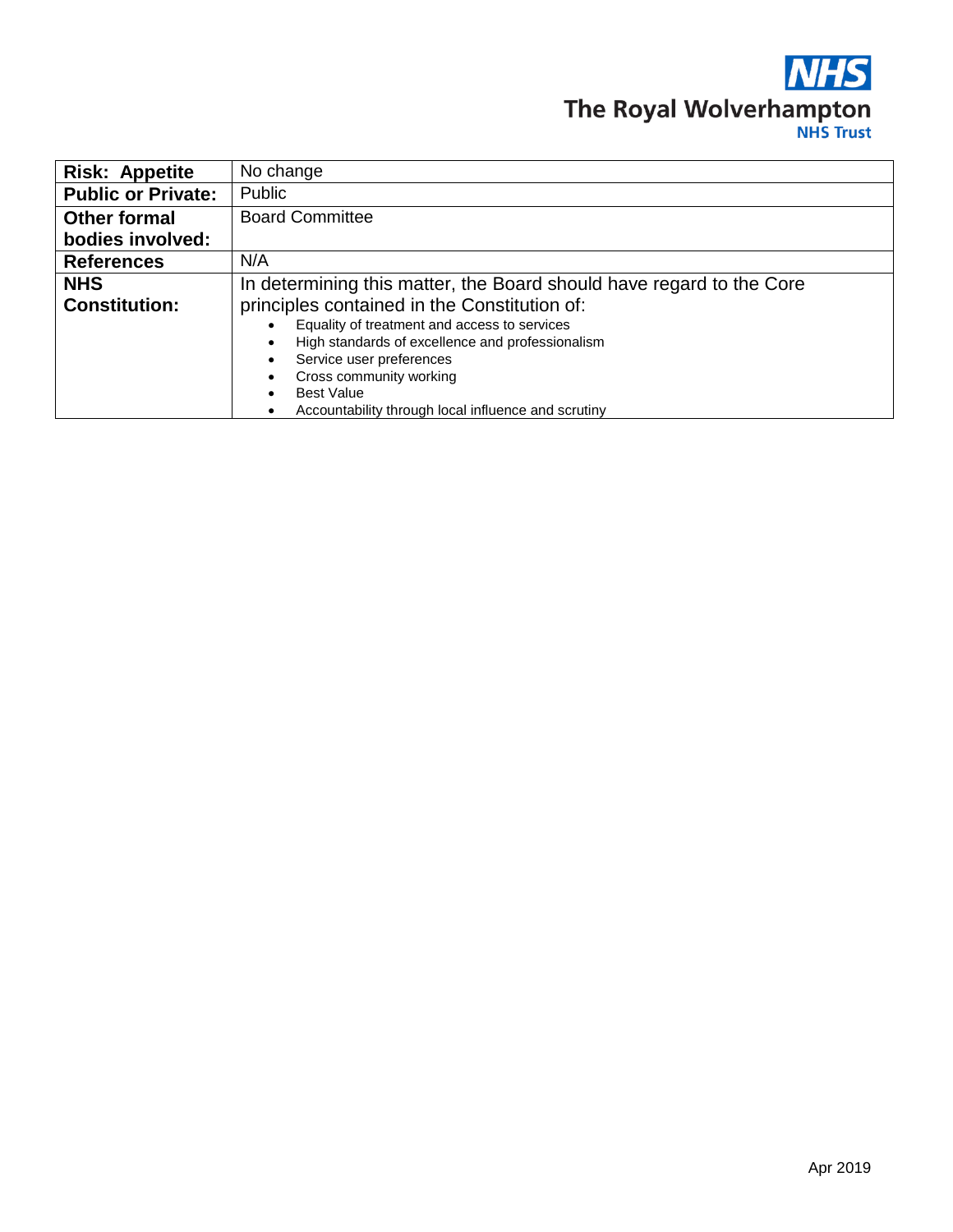### **NHS** The Royal Wolverhampton

| <b>Risk: Appetite</b>                            | No change                                                            |  |  |  |
|--------------------------------------------------|----------------------------------------------------------------------|--|--|--|
| <b>Public or Private:</b>                        | Public                                                               |  |  |  |
| <b>Other formal</b>                              | <b>Board Committee</b>                                               |  |  |  |
| bodies involved:                                 |                                                                      |  |  |  |
| <b>References</b>                                | N/A                                                                  |  |  |  |
| <b>NHS</b>                                       | In determining this matter, the Board should have regard to the Core |  |  |  |
| <b>Constitution:</b>                             | principles contained in the Constitution of:                         |  |  |  |
|                                                  | Equality of treatment and access to services                         |  |  |  |
| High standards of excellence and professionalism |                                                                      |  |  |  |
|                                                  | Service user preferences                                             |  |  |  |
|                                                  | Cross community working                                              |  |  |  |
|                                                  | <b>Best Value</b><br>$\bullet$                                       |  |  |  |
|                                                  | Accountability through local influence and scrutiny<br>$\bullet$     |  |  |  |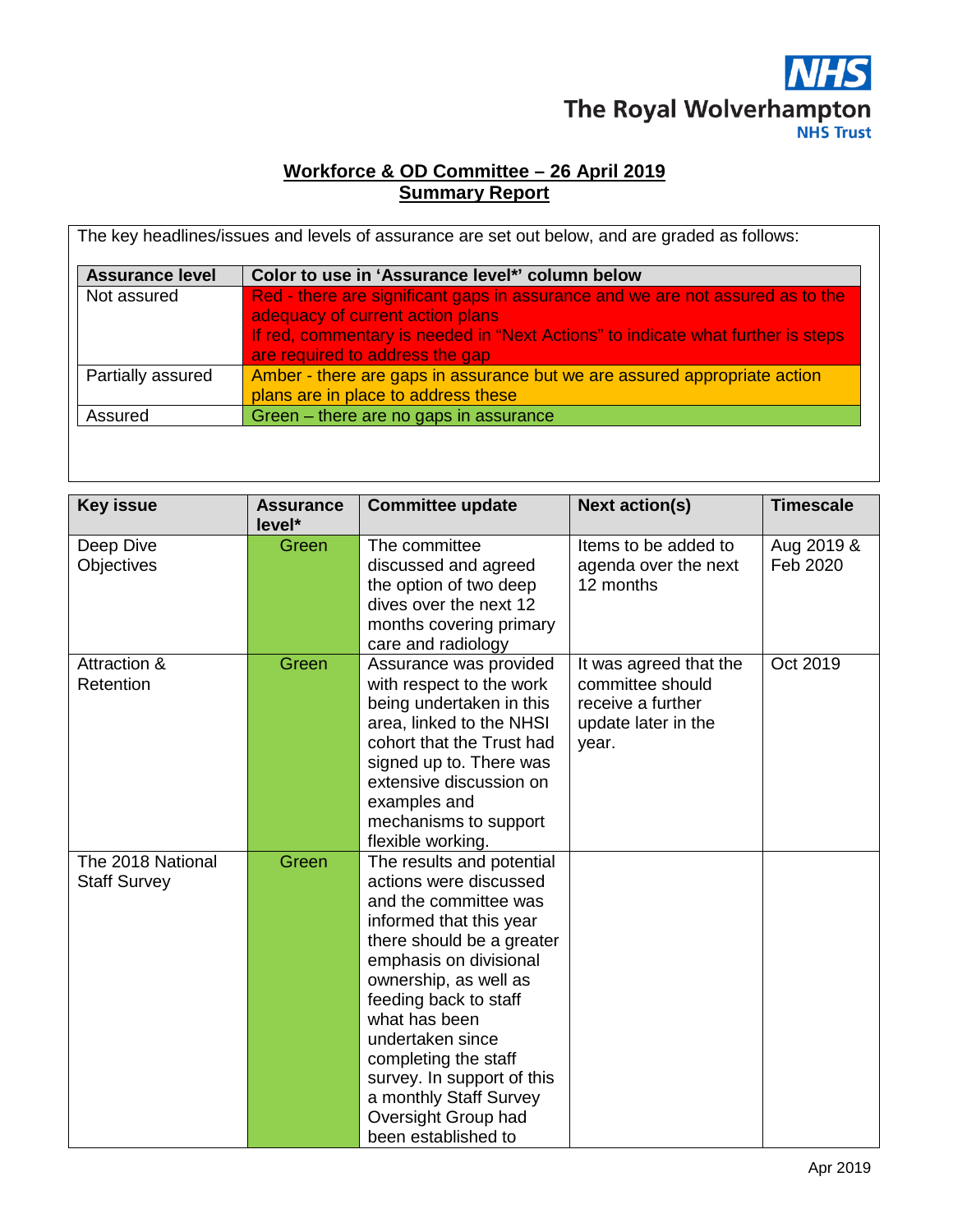### **NHS** The Royal Wolverhampton

#### **Workforce & OD Committee – 26 April 2019 Summary Report**

| <b>Assurance level</b> | Color to use in 'Assurance level*' column below                                                                                                                                                                                           |
|------------------------|-------------------------------------------------------------------------------------------------------------------------------------------------------------------------------------------------------------------------------------------|
| Not assured            | Red - there are significant gaps in assurance and we are not assured as to the<br>adequacy of current action plans<br>If red, commentary is needed in "Next Actions" to indicate what further is steps<br>are required to address the gap |
| Partially assured      | Amber - there are gaps in assurance but we are assured appropriate action<br>plans are in place to address these                                                                                                                          |
| Assured                | Green - there are no gaps in assurance                                                                                                                                                                                                    |

| <b>Key issue</b>                         | <b>Assurance</b> | <b>Committee update</b>                                                                                                                                                                                                                                                                                                                                                             | <b>Next action(s)</b>                                                                           | <b>Timescale</b>       |
|------------------------------------------|------------------|-------------------------------------------------------------------------------------------------------------------------------------------------------------------------------------------------------------------------------------------------------------------------------------------------------------------------------------------------------------------------------------|-------------------------------------------------------------------------------------------------|------------------------|
|                                          | level*           |                                                                                                                                                                                                                                                                                                                                                                                     |                                                                                                 |                        |
| Deep Dive<br><b>Objectives</b>           | Green            | The committee<br>discussed and agreed<br>the option of two deep<br>dives over the next 12<br>months covering primary<br>care and radiology                                                                                                                                                                                                                                          | Items to be added to<br>agenda over the next<br>12 months                                       | Aug 2019 &<br>Feb 2020 |
| Attraction &<br>Retention                | Green            | Assurance was provided<br>with respect to the work<br>being undertaken in this<br>area, linked to the NHSI<br>cohort that the Trust had<br>signed up to. There was<br>extensive discussion on<br>examples and<br>mechanisms to support<br>flexible working.                                                                                                                         | It was agreed that the<br>committee should<br>receive a further<br>update later in the<br>year. | Oct 2019               |
| The 2018 National<br><b>Staff Survey</b> | Green            | The results and potential<br>actions were discussed<br>and the committee was<br>informed that this year<br>there should be a greater<br>emphasis on divisional<br>ownership, as well as<br>feeding back to staff<br>what has been<br>undertaken since<br>completing the staff<br>survey. In support of this<br>a monthly Staff Survey<br>Oversight Group had<br>been established to |                                                                                                 |                        |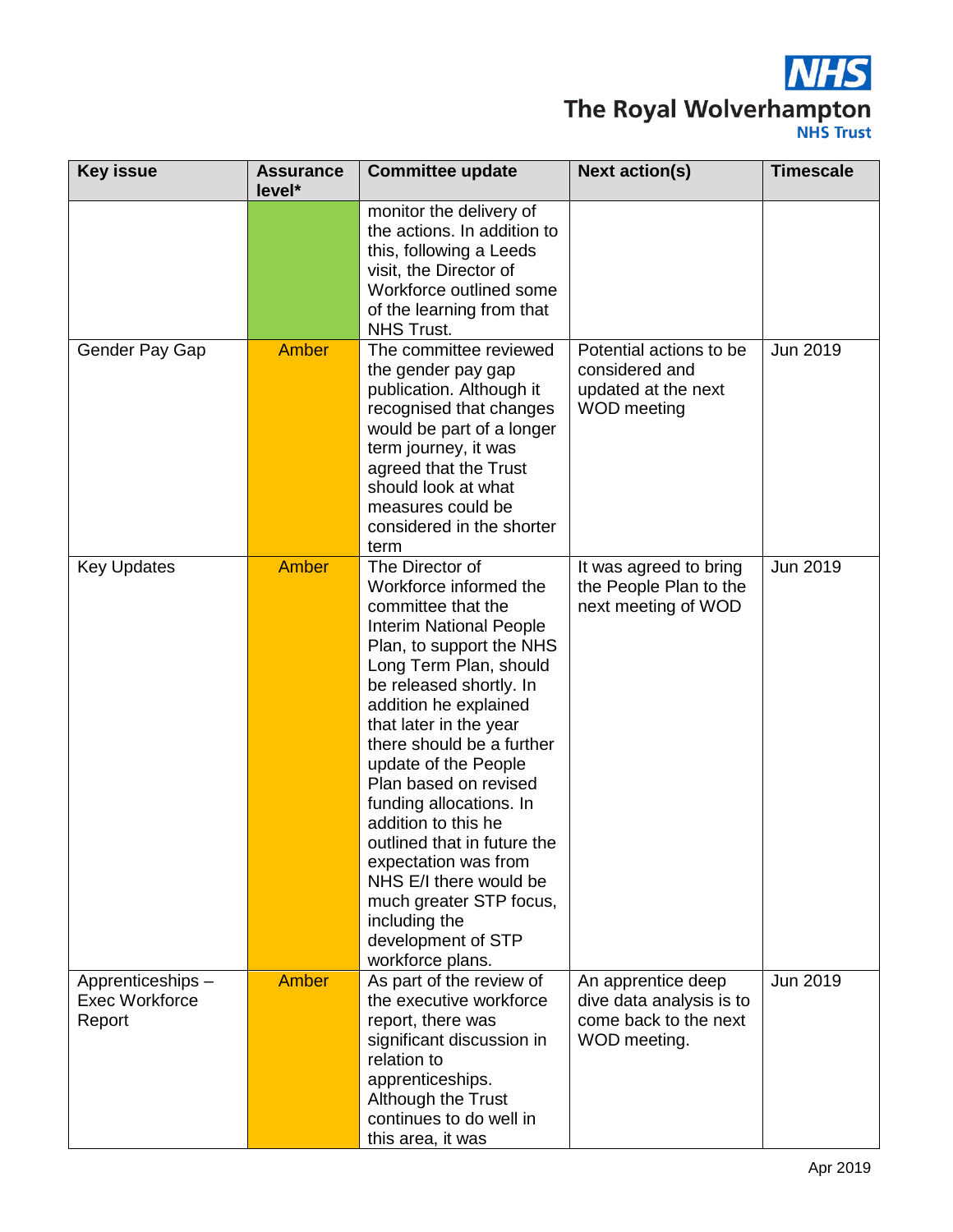

# The Royal Wolverhampton

| <b>Key issue</b>                                    | <b>Assurance</b><br>level* | <b>Committee update</b>                                                                                                                                                                                                                                                                                                                                                                                                                                                                                                                      | <b>Next action(s)</b>                                                                   | <b>Timescale</b> |
|-----------------------------------------------------|----------------------------|----------------------------------------------------------------------------------------------------------------------------------------------------------------------------------------------------------------------------------------------------------------------------------------------------------------------------------------------------------------------------------------------------------------------------------------------------------------------------------------------------------------------------------------------|-----------------------------------------------------------------------------------------|------------------|
|                                                     |                            | monitor the delivery of<br>the actions. In addition to<br>this, following a Leeds<br>visit, the Director of<br>Workforce outlined some<br>of the learning from that<br>NHS Trust.                                                                                                                                                                                                                                                                                                                                                            |                                                                                         |                  |
| Gender Pay Gap                                      | <b>Amber</b>               | The committee reviewed<br>the gender pay gap<br>publication. Although it<br>recognised that changes<br>would be part of a longer<br>term journey, it was<br>agreed that the Trust<br>should look at what<br>measures could be<br>considered in the shorter<br>term                                                                                                                                                                                                                                                                           | Potential actions to be<br>considered and<br>updated at the next<br>WOD meeting         | Jun 2019         |
| <b>Key Updates</b>                                  | <b>Amber</b>               | The Director of<br>Workforce informed the<br>committee that the<br><b>Interim National People</b><br>Plan, to support the NHS<br>Long Term Plan, should<br>be released shortly. In<br>addition he explained<br>that later in the year<br>there should be a further<br>update of the People<br>Plan based on revised<br>funding allocations. In<br>addition to this he<br>outlined that in future the<br>expectation was from<br>NHS E/I there would be<br>much greater STP focus,<br>including the<br>development of STP<br>workforce plans. | It was agreed to bring<br>the People Plan to the<br>next meeting of WOD                 | Jun 2019         |
| Apprenticeships-<br><b>Exec Workforce</b><br>Report | <b>Amber</b>               | As part of the review of<br>the executive workforce<br>report, there was<br>significant discussion in<br>relation to<br>apprenticeships.<br>Although the Trust<br>continues to do well in<br>this area, it was                                                                                                                                                                                                                                                                                                                               | An apprentice deep<br>dive data analysis is to<br>come back to the next<br>WOD meeting. | Jun 2019         |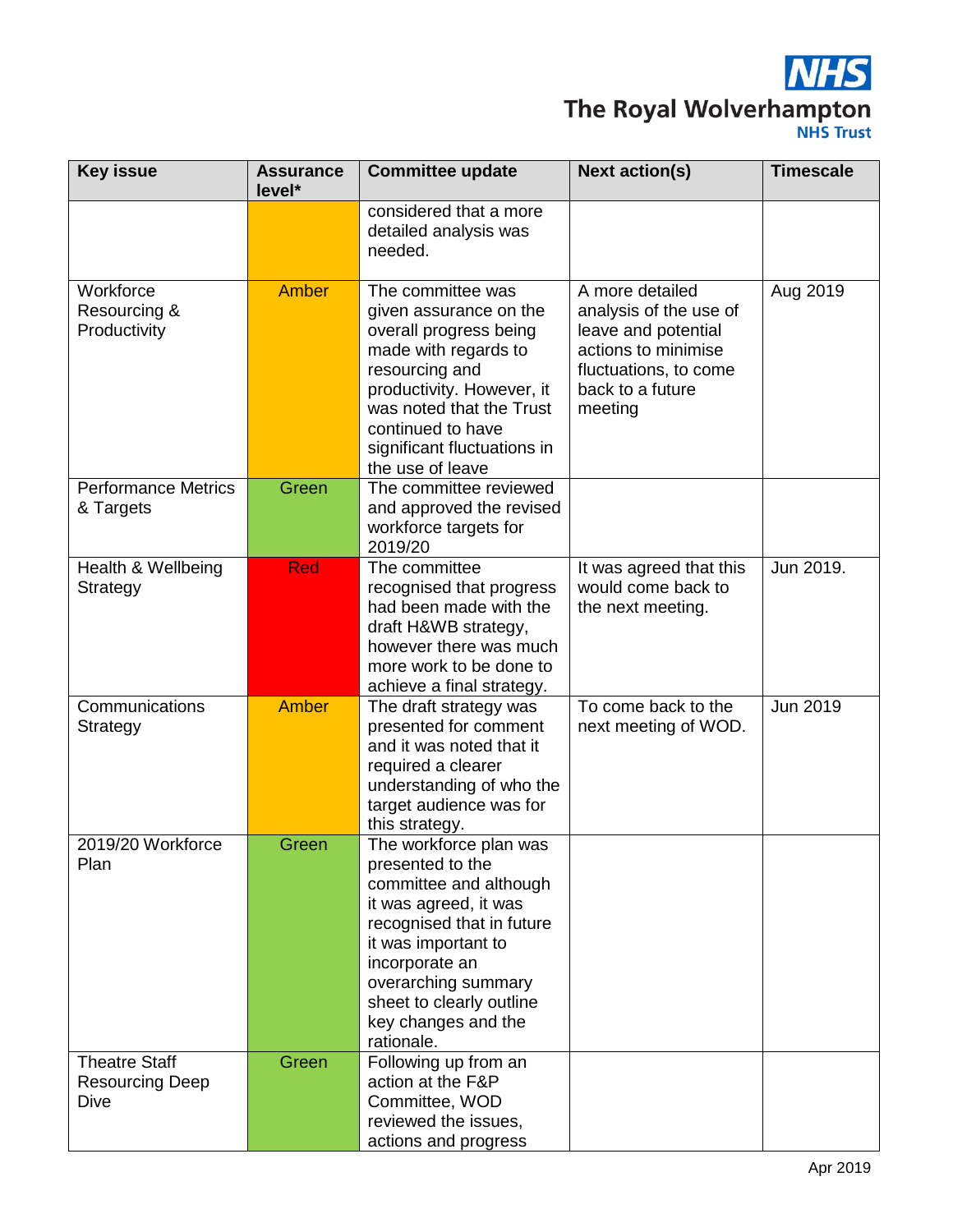

# The Royal Wolverhampton

| <b>Key issue</b>                                       | <b>Assurance</b><br>level* | Committee update                                                                                                                                                                                                                                            | <b>Next action(s)</b>                                                                                                                           | <b>Timescale</b> |
|--------------------------------------------------------|----------------------------|-------------------------------------------------------------------------------------------------------------------------------------------------------------------------------------------------------------------------------------------------------------|-------------------------------------------------------------------------------------------------------------------------------------------------|------------------|
|                                                        |                            | considered that a more<br>detailed analysis was<br>needed.                                                                                                                                                                                                  |                                                                                                                                                 |                  |
| Workforce<br>Resourcing &<br>Productivity              | Amber                      | The committee was<br>given assurance on the<br>overall progress being<br>made with regards to<br>resourcing and<br>productivity. However, it<br>was noted that the Trust<br>continued to have<br>significant fluctuations in<br>the use of leave            | A more detailed<br>analysis of the use of<br>leave and potential<br>actions to minimise<br>fluctuations, to come<br>back to a future<br>meeting | Aug 2019         |
| <b>Performance Metrics</b><br>& Targets                | Green                      | The committee reviewed<br>and approved the revised<br>workforce targets for<br>2019/20                                                                                                                                                                      |                                                                                                                                                 |                  |
| Health & Wellbeing<br>Strategy                         | <b>Red</b>                 | The committee<br>recognised that progress<br>had been made with the<br>draft H&WB strategy,<br>however there was much<br>more work to be done to<br>achieve a final strategy.                                                                               | It was agreed that this<br>would come back to<br>the next meeting.                                                                              | Jun 2019.        |
| Communications<br>Strategy                             | <b>Amber</b>               | The draft strategy was<br>presented for comment<br>and it was noted that it<br>required a clearer<br>understanding of who the<br>target audience was for<br>this strategy.                                                                                  | To come back to the<br>next meeting of WOD.                                                                                                     | Jun 2019         |
| 2019/20 Workforce<br>Plan                              | Green                      | The workforce plan was<br>presented to the<br>committee and although<br>it was agreed, it was<br>recognised that in future<br>it was important to<br>incorporate an<br>overarching summary<br>sheet to clearly outline<br>key changes and the<br>rationale. |                                                                                                                                                 |                  |
| <b>Theatre Staff</b><br><b>Resourcing Deep</b><br>Dive | Green                      | Following up from an<br>action at the F&P<br>Committee, WOD<br>reviewed the issues,<br>actions and progress                                                                                                                                                 |                                                                                                                                                 |                  |